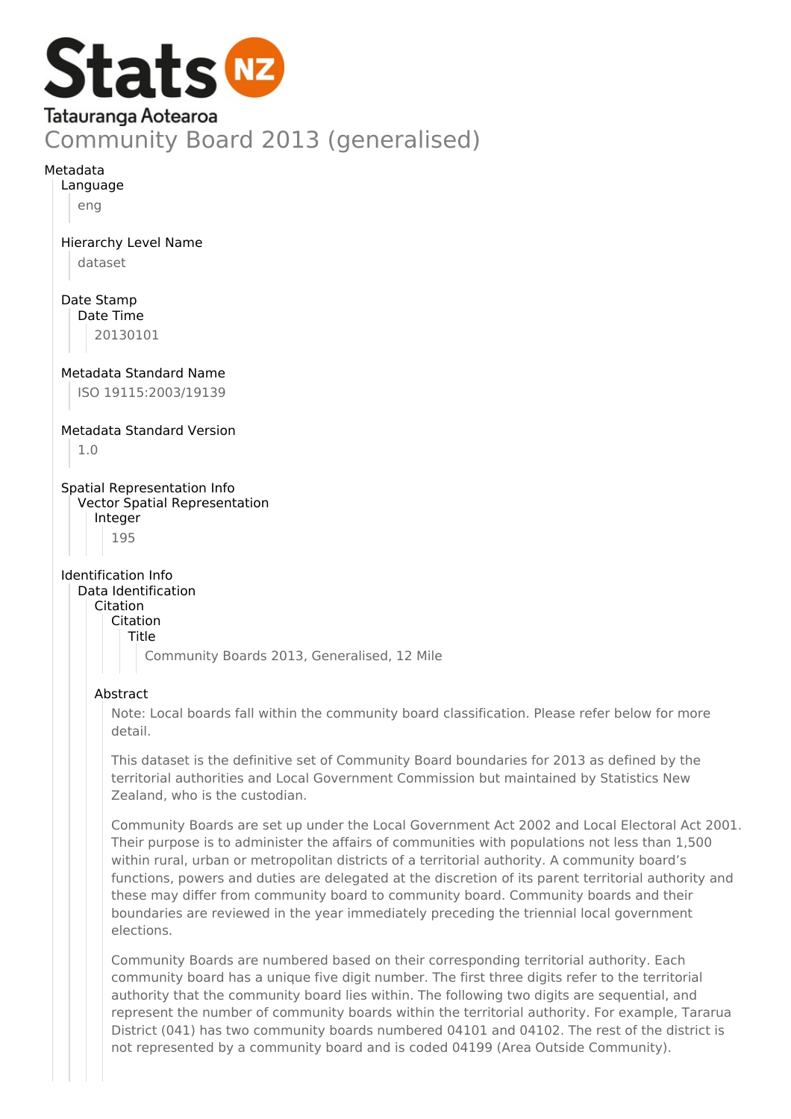

## Metadata

Language

eng

Hierarchy Level Name

dataset

Date Stamp Date Time

20130101

Metadata Standard Name

ISO 19115:2003/19139

Metadata Standard Version

1.0

Spatial Representation Info Vector Spatial Representation Integer

195

Identification Info Data Identification

Citation

Citation

Title

Community Boards 2013, Generalised, 12 Mile

# Abstract

Note: Local boards fall within the community board classification. Please refer below for more detail.

This dataset is the definitive set of Community Board boundaries for 2013 as defined by the territorial authorities and Local Government Commission but maintained by Statistics New Zealand, who is the custodian.

Community Boards are set up under the Local Government Act 2002 and Local Electoral Act 2001. Their purpose is to administer the affairs of communities with populations not less than 1,500 within rural, urban or metropolitan districts of a territorial authority. A community board's functions, powers and duties are delegated at the discretion of its parent territorial authority and these may differ from community board to community board. Community boards and their boundaries are reviewed in the year immediately preceding the triennial local government elections.

Community Boards are numbered based on their corresponding territorial authority. Each community board has a unique five digit number. The first three digits refer to the territorial authority that the community board lies within. The following two digits are sequential, and represent the number of community boards within the territorial authority. For example, Tararua District (041) has two community boards numbered 04101 and 04102. The rest of the district is not represented by a community board and is coded 04199 (Area Outside Community).